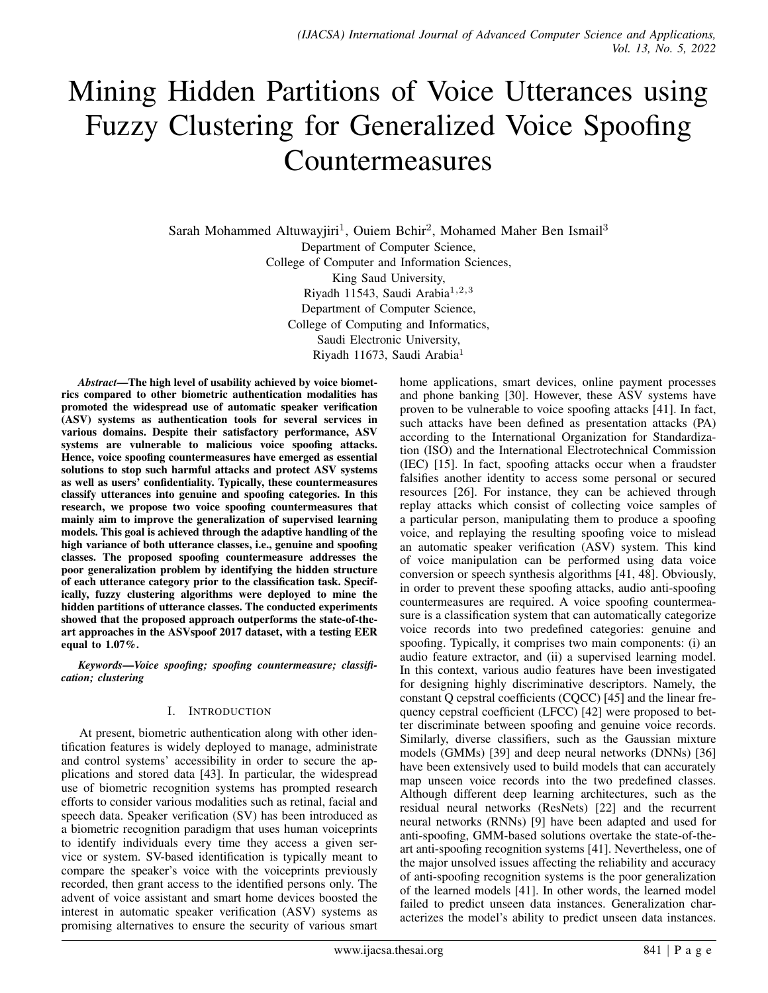# Mining Hidden Partitions of Voice Utterances using Fuzzy Clustering for Generalized Voice Spoofing Countermeasures

Sarah Mohammed Altuwayjiri<sup>1</sup>, Ouiem Bchir<sup>2</sup>, Mohamed Maher Ben Ismail<sup>3</sup> Department of Computer Science, College of Computer and Information Sciences, King Saud University, Riyadh 11543, Saudi Arabia<sup>1,2,3</sup> Department of Computer Science, College of Computing and Informatics, Saudi Electronic University, Riyadh 11673, Saudi Arabia<sup>1</sup>

*Abstract*—The high level of usability achieved by voice biometrics compared to other biometric authentication modalities has promoted the widespread use of automatic speaker verification (ASV) systems as authentication tools for several services in various domains. Despite their satisfactory performance, ASV systems are vulnerable to malicious voice spoofing attacks. Hence, voice spoofing countermeasures have emerged as essential solutions to stop such harmful attacks and protect ASV systems as well as users' confidentiality. Typically, these countermeasures classify utterances into genuine and spoofing categories. In this research, we propose two voice spoofing countermeasures that mainly aim to improve the generalization of supervised learning models. This goal is achieved through the adaptive handling of the high variance of both utterance classes, i.e., genuine and spoofing classes. The proposed spoofing countermeasure addresses the poor generalization problem by identifying the hidden structure of each utterance category prior to the classification task. Specifically, fuzzy clustering algorithms were deployed to mine the hidden partitions of utterance classes. The conducted experiments showed that the proposed approach outperforms the state-of-theart approaches in the ASVspoof 2017 dataset, with a testing EER equal to 1.07%.

*Keywords*—*Voice spoofing; spoofing countermeasure; classification; clustering*

# I. INTRODUCTION

At present, biometric authentication along with other identification features is widely deployed to manage, administrate and control systems' accessibility in order to secure the applications and stored data [43]. In particular, the widespread use of biometric recognition systems has prompted research efforts to consider various modalities such as retinal, facial and speech data. Speaker verification (SV) has been introduced as a biometric recognition paradigm that uses human voiceprints to identify individuals every time they access a given service or system. SV-based identification is typically meant to compare the speaker's voice with the voiceprints previously recorded, then grant access to the identified persons only. The advent of voice assistant and smart home devices boosted the interest in automatic speaker verification (ASV) systems as promising alternatives to ensure the security of various smart home applications, smart devices, online payment processes and phone banking [30]. However, these ASV systems have proven to be vulnerable to voice spoofing attacks [41]. In fact, such attacks have been defined as presentation attacks (PA) according to the International Organization for Standardization (ISO) and the International Electrotechnical Commission (IEC) [15]. In fact, spoofing attacks occur when a fraudster falsifies another identity to access some personal or secured resources [26]. For instance, they can be achieved through replay attacks which consist of collecting voice samples of a particular person, manipulating them to produce a spoofing voice, and replaying the resulting spoofing voice to mislead an automatic speaker verification (ASV) system. This kind of voice manipulation can be performed using data voice conversion or speech synthesis algorithms [41, 48]. Obviously, in order to prevent these spoofing attacks, audio anti-spoofing countermeasures are required. A voice spoofing countermeasure is a classification system that can automatically categorize voice records into two predefined categories: genuine and spoofing. Typically, it comprises two main components: (i) an audio feature extractor, and (ii) a supervised learning model. In this context, various audio features have been investigated for designing highly discriminative descriptors. Namely, the constant Q cepstral coefficients (CQCC) [45] and the linear frequency cepstral coefficient (LFCC) [42] were proposed to better discriminate between spoofing and genuine voice records. Similarly, diverse classifiers, such as the Gaussian mixture models (GMMs) [39] and deep neural networks (DNNs) [36] have been extensively used to build models that can accurately map unseen voice records into the two predefined classes. Although different deep learning architectures, such as the residual neural networks (ResNets) [22] and the recurrent neural networks (RNNs) [9] have been adapted and used for anti-spoofing, GMM-based solutions overtake the state-of-theart anti-spoofing recognition systems [41]. Nevertheless, one of the major unsolved issues affecting the reliability and accuracy of anti-spoofing recognition systems is the poor generalization of the learned models [41]. In other words, the learned model failed to predict unseen data instances. Generalization characterizes the model's ability to predict unseen data instances.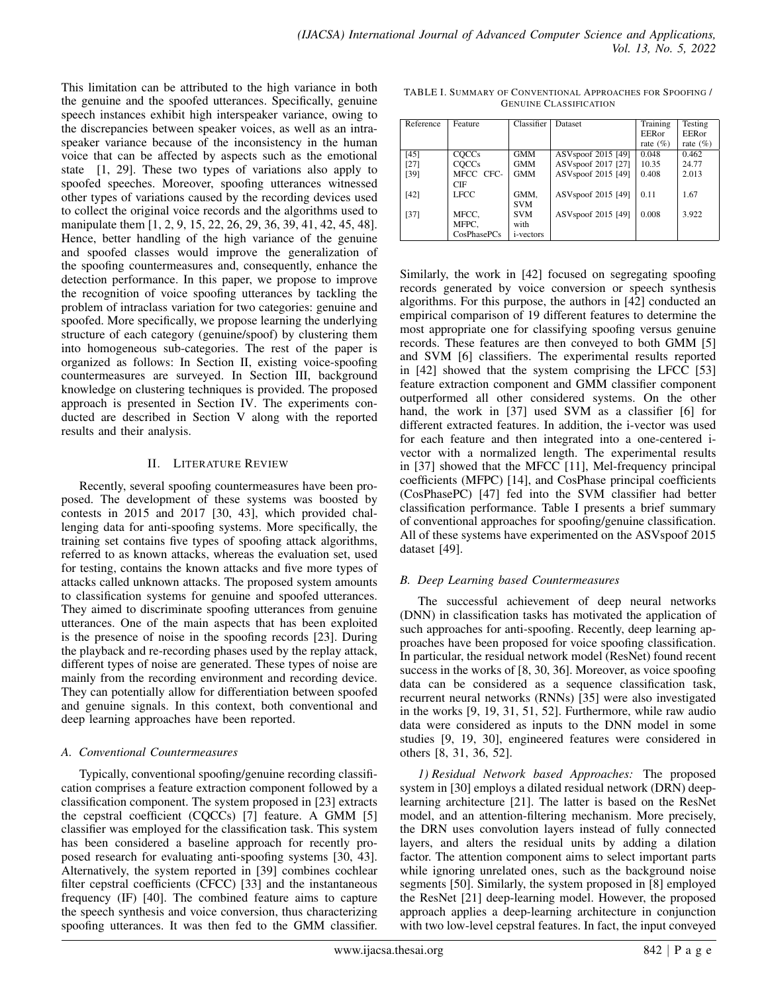This limitation can be attributed to the high variance in both the genuine and the spoofed utterances. Specifically, genuine speech instances exhibit high interspeaker variance, owing to the discrepancies between speaker voices, as well as an intraspeaker variance because of the inconsistency in the human voice that can be affected by aspects such as the emotional state [1, 29]. These two types of variations also apply to spoofed speeches. Moreover, spoofing utterances witnessed other types of variations caused by the recording devices used to collect the original voice records and the algorithms used to manipulate them [1, 2, 9, 15, 22, 26, 29, 36, 39, 41, 42, 45, 48]. Hence, better handling of the high variance of the genuine and spoofed classes would improve the generalization of the spoofing countermeasures and, consequently, enhance the detection performance. In this paper, we propose to improve the recognition of voice spoofing utterances by tackling the problem of intraclass variation for two categories: genuine and spoofed. More specifically, we propose learning the underlying structure of each category (genuine/spoof) by clustering them into homogeneous sub-categories. The rest of the paper is organized as follows: In Section II, existing voice-spoofing countermeasures are surveyed. In Section III, background knowledge on clustering techniques is provided. The proposed approach is presented in Section IV. The experiments conducted are described in Section V along with the reported results and their analysis.

# II. LITERATURE REVIEW

Recently, several spoofing countermeasures have been proposed. The development of these systems was boosted by contests in 2015 and 2017 [30, 43], which provided challenging data for anti-spoofing systems. More specifically, the training set contains five types of spoofing attack algorithms, referred to as known attacks, whereas the evaluation set, used for testing, contains the known attacks and five more types of attacks called unknown attacks. The proposed system amounts to classification systems for genuine and spoofed utterances. They aimed to discriminate spoofing utterances from genuine utterances. One of the main aspects that has been exploited is the presence of noise in the spoofing records [23]. During the playback and re-recording phases used by the replay attack, different types of noise are generated. These types of noise are mainly from the recording environment and recording device. They can potentially allow for differentiation between spoofed and genuine signals. In this context, both conventional and deep learning approaches have been reported.

# *A. Conventional Countermeasures*

Typically, conventional spoofing/genuine recording classification comprises a feature extraction component followed by a classification component. The system proposed in [23] extracts the cepstral coefficient (CQCCs) [7] feature. A GMM [5] classifier was employed for the classification task. This system has been considered a baseline approach for recently proposed research for evaluating anti-spoofing systems [30, 43]. Alternatively, the system reported in [39] combines cochlear filter cepstral coefficients (CFCC) [33] and the instantaneous frequency (IF) [40]. The combined feature aims to capture the speech synthesis and voice conversion, thus characterizing spoofing utterances. It was then fed to the GMM classifier.

| Reference | Feature     | Classifier        | Dataset                        | Training      | Testing       |
|-----------|-------------|-------------------|--------------------------------|---------------|---------------|
|           |             |                   |                                | <b>EER</b> or | <b>EER</b> or |
|           |             |                   |                                | rate $(\%)$   | rate $(\% )$  |
| [45]      | COCCs       | <b>GMM</b>        | ASV <sub>spoof</sub> 2015 [49] | 0.048         | 0.462         |
| [27]      | COCCs       | <b>GMM</b>        | ASV <sub>spoof</sub> 2017 [27] | 10.35         | 24.77         |
| [39]      | MFCC CFC-   | <b>GMM</b>        | ASV <sub>spoof</sub> 2015 [49] | 0.408         | 2.013         |
|           | CIF         |                   |                                |               |               |
| [42]      | <b>LFCC</b> | GMM,              | ASV <sub>spoof</sub> 2015 [49] | 0.11          | 1.67          |
|           |             | <b>SVM</b>        |                                |               |               |
| [37]      | MFCC,       | <b>SVM</b>        | ASV <sub>spoof</sub> 2015 [49] | 0.008         | 3.922         |
|           | MFPC.       | with              |                                |               |               |
|           | CosPhasePCs | <i>i</i> -vectors |                                |               |               |

TABLE I. SUMMARY OF CONVENTIONAL APPROACHES FOR SPOOFING / GENUINE CLASSIFICATION

Similarly, the work in [42] focused on segregating spoofing records generated by voice conversion or speech synthesis algorithms. For this purpose, the authors in [42] conducted an empirical comparison of 19 different features to determine the most appropriate one for classifying spoofing versus genuine records. These features are then conveyed to both GMM [5] and SVM [6] classifiers. The experimental results reported in [42] showed that the system comprising the LFCC [53] feature extraction component and GMM classifier component outperformed all other considered systems. On the other hand, the work in [37] used SVM as a classifier [6] for different extracted features. In addition, the i-vector was used for each feature and then integrated into a one-centered ivector with a normalized length. The experimental results in [37] showed that the MFCC [11], Mel-frequency principal coefficients (MFPC) [14], and CosPhase principal coefficients (CosPhasePC) [47] fed into the SVM classifier had better classification performance. Table I presents a brief summary of conventional approaches for spoofing/genuine classification. All of these systems have experimented on the ASVspoof 2015 dataset [49].

# *B. Deep Learning based Countermeasures*

The successful achievement of deep neural networks (DNN) in classification tasks has motivated the application of such approaches for anti-spoofing. Recently, deep learning approaches have been proposed for voice spoofing classification. In particular, the residual network model (ResNet) found recent success in the works of [8, 30, 36]. Moreover, as voice spoofing data can be considered as a sequence classification task, recurrent neural networks (RNNs) [35] were also investigated in the works [9, 19, 31, 51, 52]. Furthermore, while raw audio data were considered as inputs to the DNN model in some studies [9, 19, 30], engineered features were considered in others [8, 31, 36, 52].

*1) Residual Network based Approaches:* The proposed system in [30] employs a dilated residual network (DRN) deeplearning architecture [21]. The latter is based on the ResNet model, and an attention-filtering mechanism. More precisely, the DRN uses convolution layers instead of fully connected layers, and alters the residual units by adding a dilation factor. The attention component aims to select important parts while ignoring unrelated ones, such as the background noise segments [50]. Similarly, the system proposed in [8] employed the ResNet [21] deep-learning model. However, the proposed approach applies a deep-learning architecture in conjunction with two low-level cepstral features. In fact, the input conveyed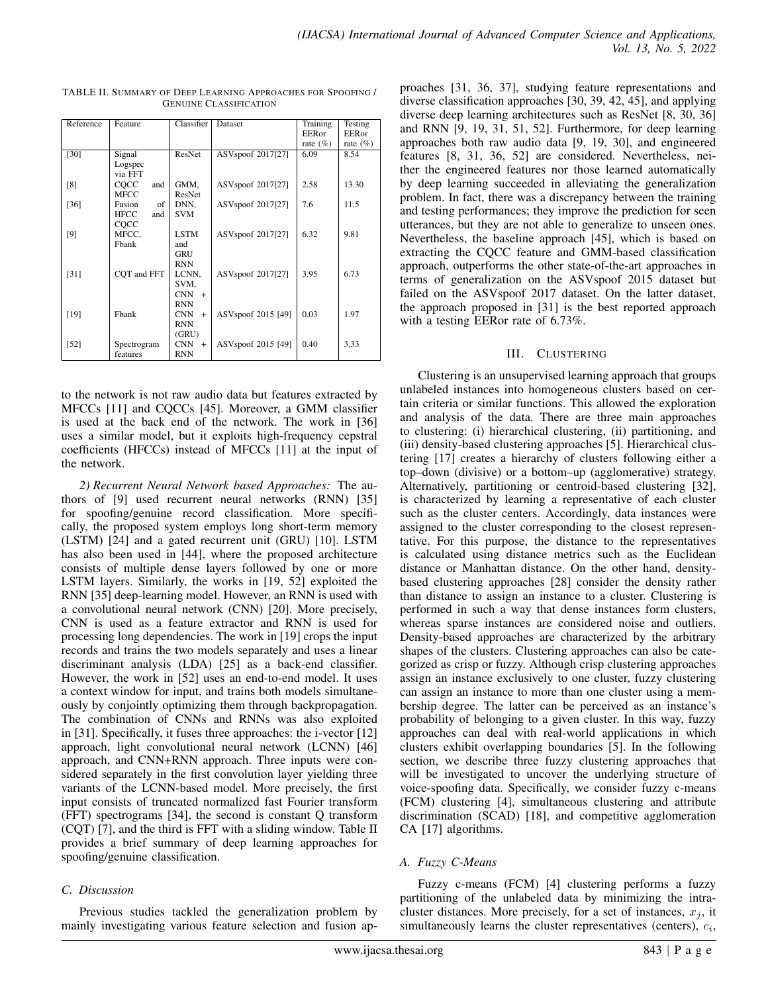| Reference | Feature            | Classifier        | Dataset                       | Training<br>EERor | Testing<br>EERor |
|-----------|--------------------|-------------------|-------------------------------|-------------------|------------------|
|           |                    |                   |                               | rate $(\%)$       | rate $(\%)$      |
| [30]      | Signal             | ResNet            | ASVspoof 2017[27]             | 6.09              | 8.54             |
|           | Logspec<br>via FFT |                   |                               |                   |                  |
| [8]       | COCC<br>and        | GMM,              | ASVspoof 2017[27]             | 2.58              | 13.30            |
|           | MFCC               | ResNet            |                               |                   |                  |
| [36]      | Fusion<br>of       | DNN,              | ASVspoof 2017[27]             | 7.6               | 11.5             |
|           | HFCC<br>and        | <b>SVM</b>        |                               |                   |                  |
|           | COCC               |                   |                               |                   |                  |
| [9]       | MFCC,              | <b>LSTM</b>       | ASV <sub>spoof</sub> 2017[27] | 6.32              | 9.81             |
|           | Fbank              | and               |                               |                   |                  |
|           |                    | GRU               |                               |                   |                  |
|           |                    | RNN               |                               | 3.95              | 6.73             |
| $[31]$    | CQT and FFT        | LCNN,<br>SVM.     | ASVspoof 2017[27]             |                   |                  |
|           |                    | <b>CNN</b><br>$+$ |                               |                   |                  |
|           |                    | <b>RNN</b>        |                               |                   |                  |
| [19]      | Fbank              | CNN<br>$+$        | ASVspoof 2015 [49]            | 0.03              | 1.97             |
|           |                    | <b>RNN</b>        |                               |                   |                  |
|           |                    | (GRU)             |                               |                   |                  |
| $[52]$    | Spectrogram        | <b>CNN</b><br>$+$ | ASVspoof 2015 [49]            | 0.40              | 3.33             |
|           | features           | <b>RNN</b>        |                               |                   |                  |
|           |                    |                   |                               |                   |                  |

TABLE II. SUMMARY OF DEEP LEARNING APPROACHES FOR SPOOFING / GENUINE CLASSIFICATION

to the network is not raw audio data but features extracted by MFCCs [11] and CQCCs [45]. Moreover, a GMM classifier is used at the back end of the network. The work in [36] uses a similar model, but it exploits high-frequency cepstral coefficients (HFCCs) instead of MFCCs [11] at the input of the network.

*2) Recurrent Neural Network based Approaches:* The authors of [9] used recurrent neural networks (RNN) [35] for spoofing/genuine record classification. More specifically, the proposed system employs long short-term memory (LSTM) [24] and a gated recurrent unit (GRU) [10]. LSTM has also been used in [44], where the proposed architecture consists of multiple dense layers followed by one or more LSTM layers. Similarly, the works in [19, 52] exploited the RNN [35] deep-learning model. However, an RNN is used with a convolutional neural network (CNN) [20]. More precisely, CNN is used as a feature extractor and RNN is used for processing long dependencies. The work in [19] crops the input records and trains the two models separately and uses a linear discriminant analysis (LDA) [25] as a back-end classifier. However, the work in [52] uses an end-to-end model. It uses a context window for input, and trains both models simultaneously by conjointly optimizing them through backpropagation. The combination of CNNs and RNNs was also exploited in [31]. Specifically, it fuses three approaches: the i-vector [12] approach, light convolutional neural network (LCNN) [46] approach, and CNN+RNN approach. Three inputs were considered separately in the first convolution layer yielding three variants of the LCNN-based model. More precisely, the first input consists of truncated normalized fast Fourier transform (FFT) spectrograms [34], the second is constant Q transform (CQT) [7], and the third is FFT with a sliding window. Table II provides a brief summary of deep learning approaches for spoofing/genuine classification.

# *C. Discussion*

Previous studies tackled the generalization problem by mainly investigating various feature selection and fusion approaches [31, 36, 37], studying feature representations and diverse classification approaches [30, 39, 42, 45], and applying diverse deep learning architectures such as ResNet [8, 30, 36] and RNN [9, 19, 31, 51, 52]. Furthermore, for deep learning approaches both raw audio data [9, 19, 30], and engineered features [8, 31, 36, 52] are considered. Nevertheless, neither the engineered features nor those learned automatically by deep learning succeeded in alleviating the generalization problem. In fact, there was a discrepancy between the training and testing performances; they improve the prediction for seen utterances, but they are not able to generalize to unseen ones. Nevertheless, the baseline approach [45], which is based on extracting the CQCC feature and GMM-based classification approach, outperforms the other state-of-the-art approaches in terms of generalization on the ASVspoof 2015 dataset but failed on the ASVspoof 2017 dataset. On the latter dataset, the approach proposed in [31] is the best reported approach with a testing EERor rate of 6.73%.

# III. CLUSTERING

Clustering is an unsupervised learning approach that groups unlabeled instances into homogeneous clusters based on certain criteria or similar functions. This allowed the exploration and analysis of the data. There are three main approaches to clustering: (i) hierarchical clustering, (ii) partitioning, and (iii) density-based clustering approaches [5]. Hierarchical clustering [17] creates a hierarchy of clusters following either a top–down (divisive) or a bottom–up (agglomerative) strategy. Alternatively, partitioning or centroid-based clustering [32], is characterized by learning a representative of each cluster such as the cluster centers. Accordingly, data instances were assigned to the cluster corresponding to the closest representative. For this purpose, the distance to the representatives is calculated using distance metrics such as the Euclidean distance or Manhattan distance. On the other hand, densitybased clustering approaches [28] consider the density rather than distance to assign an instance to a cluster. Clustering is performed in such a way that dense instances form clusters, whereas sparse instances are considered noise and outliers. Density-based approaches are characterized by the arbitrary shapes of the clusters. Clustering approaches can also be categorized as crisp or fuzzy. Although crisp clustering approaches assign an instance exclusively to one cluster, fuzzy clustering can assign an instance to more than one cluster using a membership degree. The latter can be perceived as an instance's probability of belonging to a given cluster. In this way, fuzzy approaches can deal with real-world applications in which clusters exhibit overlapping boundaries [5]. In the following section, we describe three fuzzy clustering approaches that will be investigated to uncover the underlying structure of voice-spoofing data. Specifically, we consider fuzzy c-means (FCM) clustering [4], simultaneous clustering and attribute discrimination (SCAD) [18], and competitive agglomeration CA [17] algorithms.

# *A. Fuzzy C-Means*

Fuzzy c-means (FCM) [4] clustering performs a fuzzy partitioning of the unlabeled data by minimizing the intracluster distances. More precisely, for a set of instances,  $x_i$ , it simultaneously learns the cluster representatives (centers),  $c_i$ ,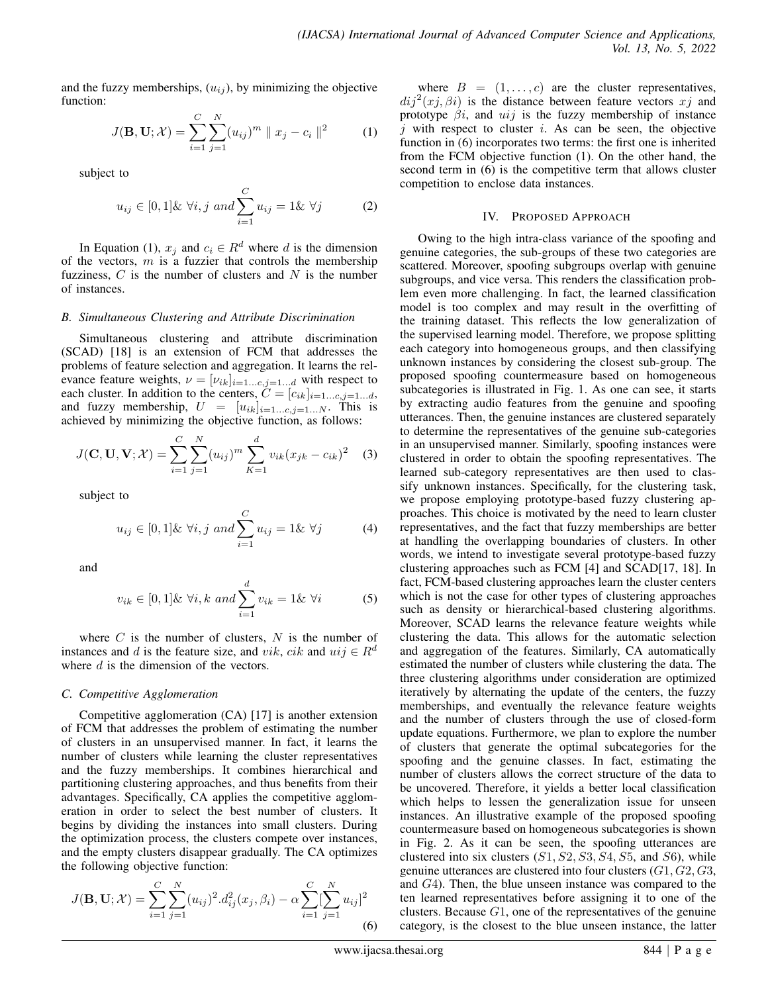and the fuzzy memberships,  $(u_{ij})$ , by minimizing the objective function:

$$
J(\mathbf{B}, \mathbf{U}; \mathcal{X}) = \sum_{i=1}^{C} \sum_{j=1}^{N} (u_{ij})^{m} || x_{j} - c_{i} ||^{2}
$$
 (1)

subject to

$$
u_{ij} \in [0,1] \& \ \forall i, j \ and \sum_{i=1}^{C} u_{ij} = 1 \& \ \forall j
$$
 (2)

In Equation (1),  $x_j$  and  $c_i \in R^d$  where d is the dimension of the vectors,  $m$  is a fuzzier that controls the membership fuzziness,  $C$  is the number of clusters and  $N$  is the number of instances.

### *B. Simultaneous Clustering and Attribute Discrimination*

Simultaneous clustering and attribute discrimination (SCAD) [18] is an extension of FCM that addresses the problems of feature selection and aggregation. It learns the relevance feature weights,  $\nu = [\nu_{ik}]_{i=1...c,j=1...d}$  with respect to each cluster. In addition to the centers,  $C = [c_{ik}]_{i=1...c,j=1...d}$ , and fuzzy membership,  $U = [u_{ik}]_{i=1...c, j=1...N}$ . This is achieved by minimizing the objective function, as follows:

$$
J(\mathbf{C}, \mathbf{U}, \mathbf{V}; \mathcal{X}) = \sum_{i=1}^{C} \sum_{j=1}^{N} (u_{ij})^{m} \sum_{K=1}^{d} v_{ik} (x_{jk} - c_{ik})^{2} \quad (3)
$$

subject to

$$
u_{ij} \in [0,1]\&\ \forall i, j \ and \sum_{i=1}^{C} u_{ij} = 1\&\ \forall j
$$
 (4)

and

$$
v_{ik} \in [0,1] \& \ \forall i, k \ and \sum_{i=1}^{d} v_{ik} = 1 \& \ \forall i \tag{5}
$$

where  $C$  is the number of clusters,  $N$  is the number of instances and d is the feature size, and vik, cik and  $uij \in R^d$ where  $d$  is the dimension of the vectors.

# *C. Competitive Agglomeration*

Competitive agglomeration (CA) [17] is another extension of FCM that addresses the problem of estimating the number of clusters in an unsupervised manner. In fact, it learns the number of clusters while learning the cluster representatives and the fuzzy memberships. It combines hierarchical and partitioning clustering approaches, and thus benefits from their advantages. Specifically, CA applies the competitive agglomeration in order to select the best number of clusters. It begins by dividing the instances into small clusters. During the optimization process, the clusters compete over instances, and the empty clusters disappear gradually. The CA optimizes the following objective function:

$$
J(\mathbf{B}, \mathbf{U}; \mathcal{X}) = \sum_{i=1}^{C} \sum_{j=1}^{N} (u_{ij})^2 \cdot d_{ij}^2(x_j, \beta_i) - \alpha \sum_{i=1}^{C} \sum_{j=1}^{N} u_{ij}^2
$$
\n(6)

where  $B = (1, \ldots, c)$  are the cluster representatives,  $di^2(xj, \beta i)$  is the distance between feature vectors  $xj$  and prototype  $\beta i$ , and  $uij$  is the fuzzy membership of instance  $i$  with respect to cluster  $i$ . As can be seen, the objective function in (6) incorporates two terms: the first one is inherited from the FCM objective function (1). On the other hand, the second term in (6) is the competitive term that allows cluster competition to enclose data instances.

#### IV. PROPOSED APPROACH

Owing to the high intra-class variance of the spoofing and genuine categories, the sub-groups of these two categories are scattered. Moreover, spoofing subgroups overlap with genuine subgroups, and vice versa. This renders the classification problem even more challenging. In fact, the learned classification model is too complex and may result in the overfitting of the training dataset. This reflects the low generalization of the supervised learning model. Therefore, we propose splitting each category into homogeneous groups, and then classifying unknown instances by considering the closest sub-group. The proposed spoofing countermeasure based on homogeneous subcategories is illustrated in Fig. 1. As one can see, it starts by extracting audio features from the genuine and spoofing utterances. Then, the genuine instances are clustered separately to determine the representatives of the genuine sub-categories in an unsupervised manner. Similarly, spoofing instances were clustered in order to obtain the spoofing representatives. The learned sub-category representatives are then used to classify unknown instances. Specifically, for the clustering task, we propose employing prototype-based fuzzy clustering approaches. This choice is motivated by the need to learn cluster representatives, and the fact that fuzzy memberships are better at handling the overlapping boundaries of clusters. In other words, we intend to investigate several prototype-based fuzzy clustering approaches such as FCM [4] and SCAD[17, 18]. In fact, FCM-based clustering approaches learn the cluster centers which is not the case for other types of clustering approaches such as density or hierarchical-based clustering algorithms. Moreover, SCAD learns the relevance feature weights while clustering the data. This allows for the automatic selection and aggregation of the features. Similarly, CA automatically estimated the number of clusters while clustering the data. The three clustering algorithms under consideration are optimized iteratively by alternating the update of the centers, the fuzzy memberships, and eventually the relevance feature weights and the number of clusters through the use of closed-form update equations. Furthermore, we plan to explore the number of clusters that generate the optimal subcategories for the spoofing and the genuine classes. In fact, estimating the number of clusters allows the correct structure of the data to be uncovered. Therefore, it yields a better local classification which helps to lessen the generalization issue for unseen instances. An illustrative example of the proposed spoofing countermeasure based on homogeneous subcategories is shown in Fig. 2. As it can be seen, the spoofing utterances are clustered into six clusters  $(S1, S2, S3, S4, S5,$  and  $S6)$ , while genuine utterances are clustered into four clusters  $(G1, G2, G3,$ and G4). Then, the blue unseen instance was compared to the ten learned representatives before assigning it to one of the clusters. Because  $G1$ , one of the representatives of the genuine category, is the closest to the blue unseen instance, the latter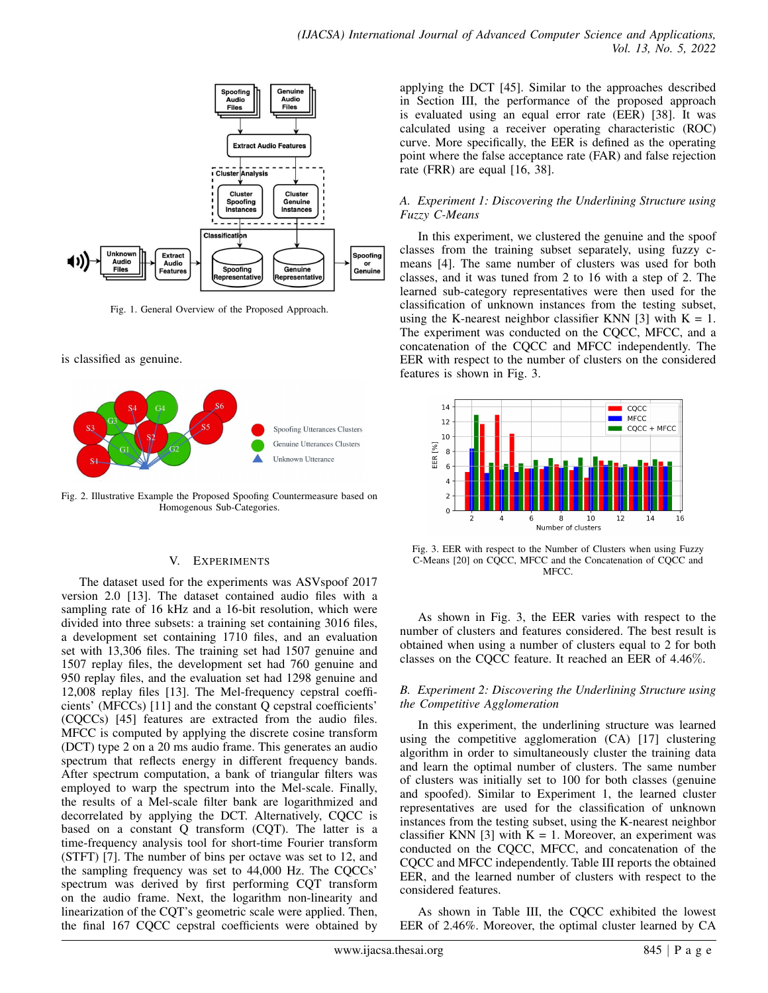

Fig. 1. General Overview of the Proposed Approach.

is classified as genuine.



Fig. 2. Illustrative Example the Proposed Spoofing Countermeasure based on Homogenous Sub-Categories.

#### V. EXPERIMENTS

The dataset used for the experiments was ASVspoof 2017 version 2.0 [13]. The dataset contained audio files with a sampling rate of 16 kHz and a 16-bit resolution, which were divided into three subsets: a training set containing 3016 files, a development set containing 1710 files, and an evaluation set with 13,306 files. The training set had 1507 genuine and 1507 replay files, the development set had 760 genuine and 950 replay files, and the evaluation set had 1298 genuine and 12,008 replay files [13]. The Mel-frequency cepstral coefficients' (MFCCs) [11] and the constant Q cepstral coefficients' (CQCCs) [45] features are extracted from the audio files. MFCC is computed by applying the discrete cosine transform (DCT) type 2 on a 20 ms audio frame. This generates an audio spectrum that reflects energy in different frequency bands. After spectrum computation, a bank of triangular filters was employed to warp the spectrum into the Mel-scale. Finally, the results of a Mel-scale filter bank are logarithmized and decorrelated by applying the DCT. Alternatively, CQCC is based on a constant Q transform (CQT). The latter is a time-frequency analysis tool for short-time Fourier transform (STFT) [7]. The number of bins per octave was set to 12, and the sampling frequency was set to 44,000 Hz. The CQCCs' spectrum was derived by first performing CQT transform on the audio frame. Next, the logarithm non-linearity and linearization of the CQT's geometric scale were applied. Then, the final 167 CQCC cepstral coefficients were obtained by

applying the DCT [45]. Similar to the approaches described in Section III, the performance of the proposed approach is evaluated using an equal error rate (EER) [38]. It was calculated using a receiver operating characteristic (ROC) curve. More specifically, the EER is defined as the operating point where the false acceptance rate (FAR) and false rejection rate (FRR) are equal [16, 38].

# *A. Experiment 1: Discovering the Underlining Structure using Fuzzy C-Means*

In this experiment, we clustered the genuine and the spoof classes from the training subset separately, using fuzzy cmeans [4]. The same number of clusters was used for both classes, and it was tuned from 2 to 16 with a step of 2. The learned sub-category representatives were then used for the classification of unknown instances from the testing subset, using the K-nearest neighbor classifier KNN [3] with  $K = 1$ . The experiment was conducted on the CQCC, MFCC, and a concatenation of the CQCC and MFCC independently. The EER with respect to the number of clusters on the considered features is shown in Fig. 3.



Fig. 3. EER with respect to the Number of Clusters when using Fuzzy C-Means [20] on CQCC, MFCC and the Concatenation of CQCC and **MFCC** 

As shown in Fig. 3, the EER varies with respect to the number of clusters and features considered. The best result is obtained when using a number of clusters equal to 2 for both classes on the CQCC feature. It reached an EER of 4.46%.

# *B. Experiment 2: Discovering the Underlining Structure using the Competitive Agglomeration*

In this experiment, the underlining structure was learned using the competitive agglomeration (CA) [17] clustering algorithm in order to simultaneously cluster the training data and learn the optimal number of clusters. The same number of clusters was initially set to 100 for both classes (genuine and spoofed). Similar to Experiment 1, the learned cluster representatives are used for the classification of unknown instances from the testing subset, using the K-nearest neighbor classifier KNN [3] with  $K = 1$ . Moreover, an experiment was conducted on the CQCC, MFCC, and concatenation of the CQCC and MFCC independently. Table III reports the obtained EER, and the learned number of clusters with respect to the considered features.

As shown in Table III, the CQCC exhibited the lowest EER of 2.46%. Moreover, the optimal cluster learned by CA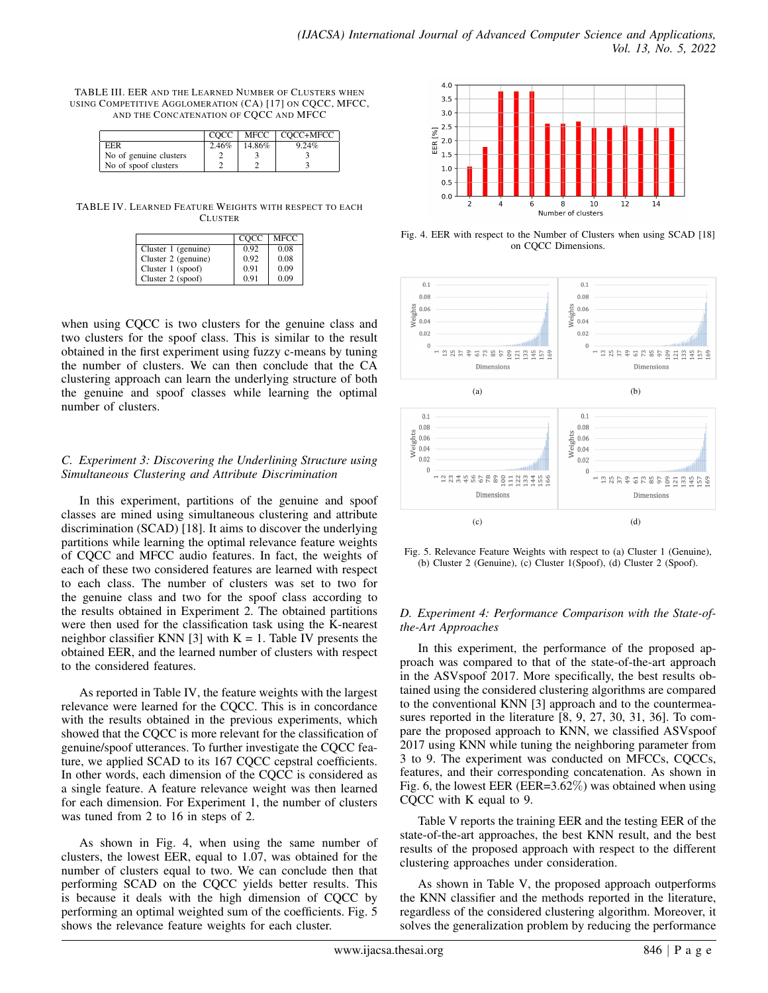| TABLE III. EER AND THE LEARNED NUMBER OF CLUSTERS WHEN   |
|----------------------------------------------------------|
| USING COMPETITIVE AGGLOMERATION (CA) [17] ON CQCC, MFCC, |
| AND THE CONCATENATION OF COCC AND MFCC                   |

|                        | COCC  |        | MFCC   COCC+MFCC |
|------------------------|-------|--------|------------------|
| EER                    | 2.46% | 14.86% | $9.24\%$         |
| No of genuine clusters |       |        |                  |
| No of spoof clusters   |       |        |                  |

TABLE IV. LEARNED FEATURE WEIGHTS WITH RESPECT TO EACH CLUSTER

|                     | COCC | <b>MFCC</b> |
|---------------------|------|-------------|
| Cluster 1 (genuine) | 0.92 | 0.08        |
| Cluster 2 (genuine) | 0.92 | 0.08        |
| Cluster $1$ (spoof) | 0.91 | 0.09        |
| Cluster 2 (spoof)   | 0.91 | 0.09        |

when using CQCC is two clusters for the genuine class and two clusters for the spoof class. This is similar to the result obtained in the first experiment using fuzzy c-means by tuning the number of clusters. We can then conclude that the CA clustering approach can learn the underlying structure of both the genuine and spoof classes while learning the optimal number of clusters.

# *C. Experiment 3: Discovering the Underlining Structure using Simultaneous Clustering and Attribute Discrimination*

In this experiment, partitions of the genuine and spoof classes are mined using simultaneous clustering and attribute discrimination (SCAD) [18]. It aims to discover the underlying partitions while learning the optimal relevance feature weights of CQCC and MFCC audio features. In fact, the weights of each of these two considered features are learned with respect to each class. The number of clusters was set to two for the genuine class and two for the spoof class according to the results obtained in Experiment 2. The obtained partitions were then used for the classification task using the K-nearest neighbor classifier KNN [3] with  $K = 1$ . Table IV presents the obtained EER, and the learned number of clusters with respect to the considered features.

As reported in Table IV, the feature weights with the largest relevance were learned for the CQCC. This is in concordance with the results obtained in the previous experiments, which showed that the CQCC is more relevant for the classification of genuine/spoof utterances. To further investigate the CQCC feature, we applied SCAD to its 167 CQCC cepstral coefficients. In other words, each dimension of the CQCC is considered as a single feature. A feature relevance weight was then learned for each dimension. For Experiment 1, the number of clusters was tuned from 2 to 16 in steps of 2.

As shown in Fig. 4, when using the same number of clusters, the lowest EER, equal to 1.07, was obtained for the number of clusters equal to two. We can conclude then that performing SCAD on the CQCC yields better results. This is because it deals with the high dimension of CQCC by performing an optimal weighted sum of the coefficients. Fig. 5 shows the relevance feature weights for each cluster.



Fig. 4. EER with respect to the Number of Clusters when using SCAD [18] on CQCC Dimensions.



Fig. 5. Relevance Feature Weights with respect to (a) Cluster 1 (Genuine), (b) Cluster 2 (Genuine), (c) Cluster 1(Spoof), (d) Cluster 2 (Spoof).

# *D. Experiment 4: Performance Comparison with the State-ofthe-Art Approaches*

In this experiment, the performance of the proposed approach was compared to that of the state-of-the-art approach in the ASVspoof 2017. More specifically, the best results obtained using the considered clustering algorithms are compared to the conventional KNN [3] approach and to the countermeasures reported in the literature [8, 9, 27, 30, 31, 36]. To compare the proposed approach to KNN, we classified ASVspoof 2017 using KNN while tuning the neighboring parameter from 3 to 9. The experiment was conducted on MFCCs, CQCCs, features, and their corresponding concatenation. As shown in Fig. 6, the lowest EER (EER=3.62%) was obtained when using CQCC with K equal to 9.

Table V reports the training EER and the testing EER of the state-of-the-art approaches, the best KNN result, and the best results of the proposed approach with respect to the different clustering approaches under consideration.

As shown in Table V, the proposed approach outperforms the KNN classifier and the methods reported in the literature, regardless of the considered clustering algorithm. Moreover, it solves the generalization problem by reducing the performance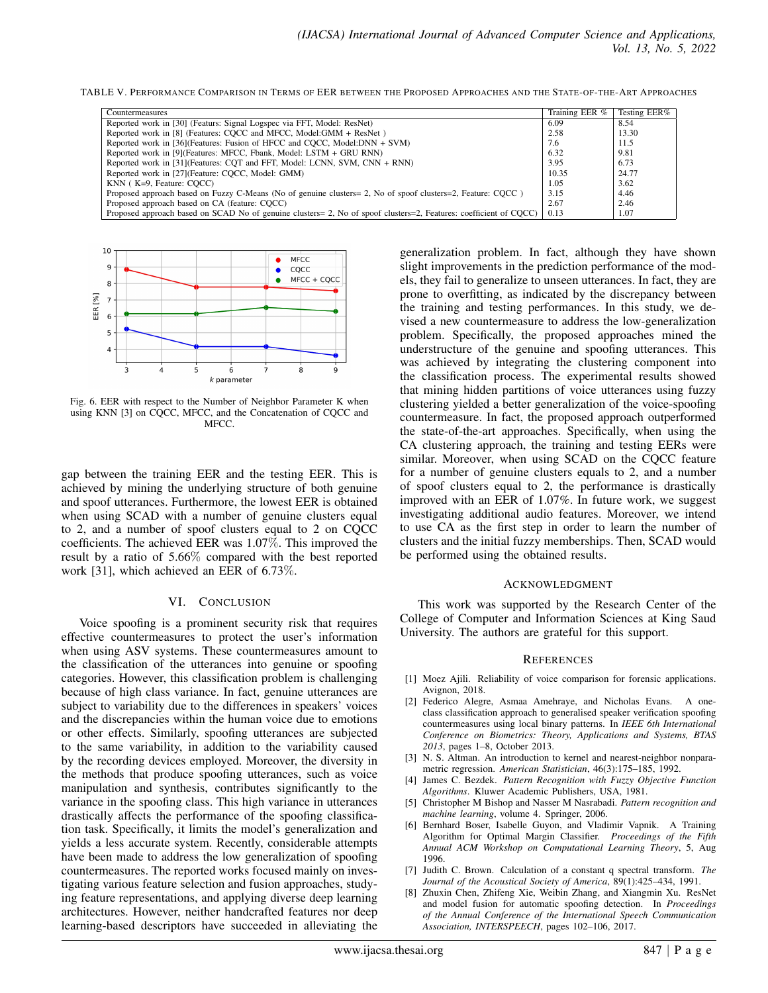TABLE V. PERFORMANCE COMPARISON IN TERMS OF EER BETWEEN THE PROPOSED APPROACHES AND THE STATE-OF-THE-ART APPROACHES

| Countermeasures                                                                                                   | Training EER % | Testing EER% |
|-------------------------------------------------------------------------------------------------------------------|----------------|--------------|
| Reported work in [30] (Featurs: Signal Logspec via FFT, Model: ResNet)                                            | 6.09           | 8.54         |
| Reported work in [8] (Features: COCC and MFCC, Model:GMM + ResNet)                                                | 2.58           | 13.30        |
| Reported work in [36] (Features: Fusion of HFCC and COCC, Model:DNN + SVM)                                        | 7.6            | 11.5         |
| Reported work in [9] (Features: MFCC, Fbank, Model: LSTM + GRU RNN)                                               | 6.32           | 9.81         |
| Reported work in [31] (Features: CQT and FFT, Model: LCNN, SVM, CNN + RNN)                                        | 3.95           | 6.73         |
| Reported work in [27] (Feature: COCC, Model: GMM)                                                                 | 10.35          | 24.77        |
| $KNN$ ( $K=9$ , Feature: COCC)                                                                                    | 1.05           | 3.62         |
| Proposed approach based on Fuzzy C-Means (No of genuine clusters= 2, No of spoof clusters=2, Feature: COCC)       | 3.15           | 4.46         |
| Proposed approach based on CA (feature: COCC)                                                                     | 2.67           | 2.46         |
| Proposed approach based on SCAD No of genuine clusters= 2, No of spoof clusters=2, Features: coefficient of CQCC) | 0.13           | 1.07         |



Fig. 6. EER with respect to the Number of Neighbor Parameter K when using KNN [3] on CQCC, MFCC, and the Concatenation of CQCC and MFCC.

gap between the training EER and the testing EER. This is achieved by mining the underlying structure of both genuine and spoof utterances. Furthermore, the lowest EER is obtained when using SCAD with a number of genuine clusters equal to 2, and a number of spoof clusters equal to 2 on CQCC coefficients. The achieved EER was 1.07%. This improved the result by a ratio of 5.66% compared with the best reported work [31], which achieved an EER of 6.73%.

#### VI. CONCLUSION

Voice spoofing is a prominent security risk that requires effective countermeasures to protect the user's information when using ASV systems. These countermeasures amount to the classification of the utterances into genuine or spoofing categories. However, this classification problem is challenging because of high class variance. In fact, genuine utterances are subject to variability due to the differences in speakers' voices and the discrepancies within the human voice due to emotions or other effects. Similarly, spoofing utterances are subjected to the same variability, in addition to the variability caused by the recording devices employed. Moreover, the diversity in the methods that produce spoofing utterances, such as voice manipulation and synthesis, contributes significantly to the variance in the spoofing class. This high variance in utterances drastically affects the performance of the spoofing classification task. Specifically, it limits the model's generalization and yields a less accurate system. Recently, considerable attempts have been made to address the low generalization of spoofing countermeasures. The reported works focused mainly on investigating various feature selection and fusion approaches, studying feature representations, and applying diverse deep learning architectures. However, neither handcrafted features nor deep learning-based descriptors have succeeded in alleviating the generalization problem. In fact, although they have shown slight improvements in the prediction performance of the models, they fail to generalize to unseen utterances. In fact, they are prone to overfitting, as indicated by the discrepancy between the training and testing performances. In this study, we devised a new countermeasure to address the low-generalization problem. Specifically, the proposed approaches mined the understructure of the genuine and spoofing utterances. This was achieved by integrating the clustering component into the classification process. The experimental results showed that mining hidden partitions of voice utterances using fuzzy clustering yielded a better generalization of the voice-spoofing countermeasure. In fact, the proposed approach outperformed the state-of-the-art approaches. Specifically, when using the CA clustering approach, the training and testing EERs were similar. Moreover, when using SCAD on the CQCC feature for a number of genuine clusters equals to 2, and a number of spoof clusters equal to 2, the performance is drastically improved with an EER of 1.07%. In future work, we suggest investigating additional audio features. Moreover, we intend to use CA as the first step in order to learn the number of clusters and the initial fuzzy memberships. Then, SCAD would be performed using the obtained results.

#### ACKNOWLEDGMENT

This work was supported by the Research Center of the College of Computer and Information Sciences at King Saud University. The authors are grateful for this support.

#### **REFERENCES**

- [1] Moez Ajili. Reliability of voice comparison for forensic applications. Avignon, 2018.
- [2] Federico Alegre, Asmaa Amehraye, and Nicholas Evans. A oneclass classification approach to generalised speaker verification spoofing countermeasures using local binary patterns. In *IEEE 6th International Conference on Biometrics: Theory, Applications and Systems, BTAS 2013*, pages 1–8, October 2013.
- [3] N. S. Altman. An introduction to kernel and nearest-neighbor nonparametric regression. *American Statistician*, 46(3):175–185, 1992.
- [4] James C. Bezdek. *Pattern Recognition with Fuzzy Objective Function Algorithms*. Kluwer Academic Publishers, USA, 1981.
- [5] Christopher M Bishop and Nasser M Nasrabadi. *Pattern recognition and machine learning*, volume 4. Springer, 2006.
- [6] Bernhard Boser, Isabelle Guyon, and Vladimir Vapnik. A Training Algorithm for Optimal Margin Classifier. *Proceedings of the Fifth Annual ACM Workshop on Computational Learning Theory*, 5, Aug 1996.
- [7] Judith C. Brown. Calculation of a constant q spectral transform. *The Journal of the Acoustical Society of America*, 89(1):425–434, 1991.
- [8] Zhuxin Chen, Zhifeng Xie, Weibin Zhang, and Xiangmin Xu. ResNet and model fusion for automatic spoofing detection. In *Proceedings of the Annual Conference of the International Speech Communication Association, INTERSPEECH*, pages 102–106, 2017.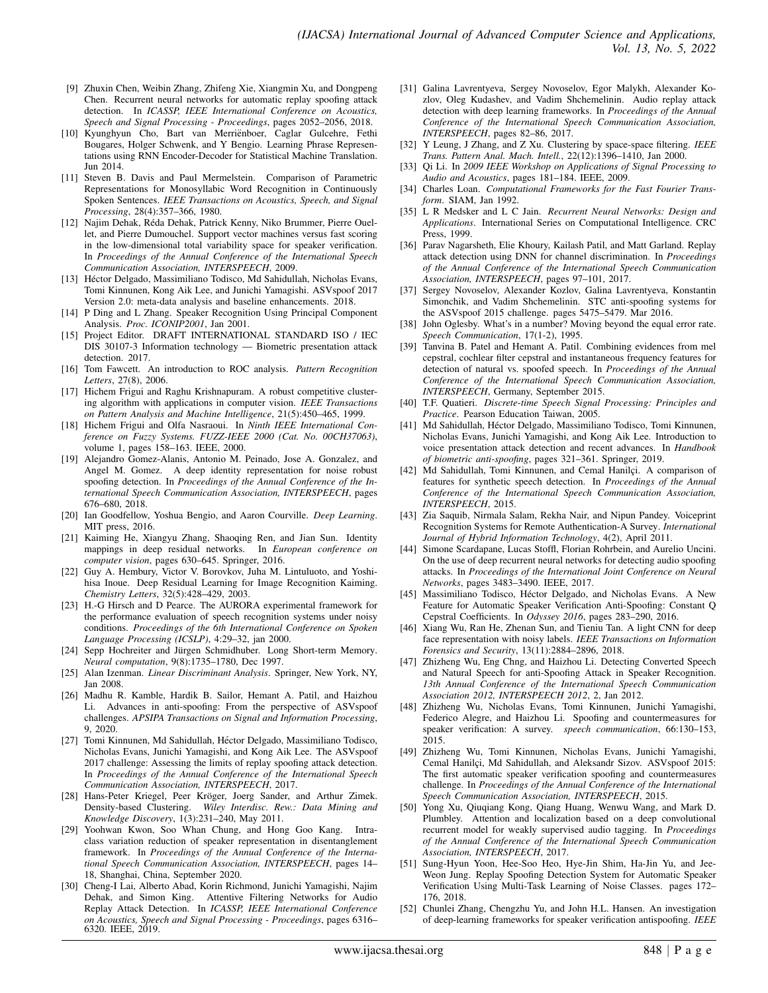- [9] Zhuxin Chen, Weibin Zhang, Zhifeng Xie, Xiangmin Xu, and Dongpeng Chen. Recurrent neural networks for automatic replay spoofing attack detection. In *ICASSP, IEEE International Conference on Acoustics, Speech and Signal Processing - Proceedings*, pages 2052–2056, 2018.
- [10] Kyunghyun Cho, Bart van Merrienboer, Caglar Gulcehre, Fethi ¨ Bougares, Holger Schwenk, and Y Bengio. Learning Phrase Representations using RNN Encoder-Decoder for Statistical Machine Translation. Jun 2014.
- [11] Steven B. Davis and Paul Mermelstein. Comparison of Parametric Representations for Monosyllabic Word Recognition in Continuously Spoken Sentences. *IEEE Transactions on Acoustics, Speech, and Signal Processing*, 28(4):357–366, 1980.
- [12] Najim Dehak, Reda Dehak, Patrick Kenny, Niko Brummer, Pierre Ouel- ´ let, and Pierre Dumouchel. Support vector machines versus fast scoring in the low-dimensional total variability space for speaker verification. In *Proceedings of the Annual Conference of the International Speech Communication Association, INTERSPEECH*, 2009.
- [13] Héctor Delgado, Massimiliano Todisco, Md Sahidullah, Nicholas Evans, Tomi Kinnunen, Kong Aik Lee, and Junichi Yamagishi. ASVspoof 2017 Version 2.0: meta-data analysis and baseline enhancements. 2018.
- [14] P Ding and L Zhang. Speaker Recognition Using Principal Component Analysis. *Proc. ICONIP2001*, Jan 2001.
- [15] Project Editor. DRAFT INTERNATIONAL STANDARD ISO / IEC DIS 30107-3 Information technology — Biometric presentation attack detection. 2017.
- [16] Tom Fawcett. An introduction to ROC analysis. *Pattern Recognition Letters*, 27(8), 2006.
- [17] Hichem Frigui and Raghu Krishnapuram. A robust competitive clustering algorithm with applications in computer vision. *IEEE Transactions on Pattern Analysis and Machine Intelligence*, 21(5):450–465, 1999.
- [18] Hichem Frigui and Olfa Nasraoui. In *Ninth IEEE International Conference on Fuzzy Systems. FUZZ-IEEE 2000 (Cat. No. 00CH37063)*, volume 1, pages 158–163. IEEE, 2000.
- [19] Alejandro Gomez-Alanis, Antonio M. Peinado, Jose A. Gonzalez, and Angel M. Gomez. A deep identity representation for noise robust spoofing detection. In *Proceedings of the Annual Conference of the International Speech Communication Association, INTERSPEECH*, pages 676–680, 2018.
- [20] Ian Goodfellow, Yoshua Bengio, and Aaron Courville. *Deep Learning*. MIT press, 2016.
- [21] Kaiming He, Xiangyu Zhang, Shaoqing Ren, and Jian Sun. Identity mappings in deep residual networks. In *European conference on computer vision*, pages 630–645. Springer, 2016.
- [22] Guy A. Hembury, Victor V. Borovkov, Juha M. Lintuluoto, and Yoshihisa Inoue. Deep Residual Learning for Image Recognition Kaiming. *Chemistry Letters*, 32(5):428–429, 2003.
- [23] H.-G Hirsch and D Pearce. The AURORA experimental framework for the performance evaluation of speech recognition systems under noisy conditions. *Proceedings of the 6th International Conference on Spoken Language Processing (ICSLP)*, 4:29–32, jan 2000.
- [24] Sepp Hochreiter and Jürgen Schmidhuber. Long Short-term Memory. *Neural computation*, 9(8):1735–1780, Dec 1997.
- [25] Alan Izenman. *Linear Discriminant Analysis*. Springer, New York, NY, Jan 2008.
- [26] Madhu R. Kamble, Hardik B. Sailor, Hemant A. Patil, and Haizhou Li. Advances in anti-spoofing: From the perspective of ASVspoof challenges. *APSIPA Transactions on Signal and Information Processing*, 9, 2020.
- [27] Tomi Kinnunen, Md Sahidullah, Héctor Delgado, Massimiliano Todisco, Nicholas Evans, Junichi Yamagishi, and Kong Aik Lee. The ASVspoof 2017 challenge: Assessing the limits of replay spoofing attack detection. In *Proceedings of the Annual Conference of the International Speech Communication Association, INTERSPEECH*, 2017.
- [28] Hans-Peter Kriegel, Peer Kröger, Joerg Sander, and Arthur Zimek. Density-based Clustering. *Wiley Interdisc. Rew.: Data Mining and Knowledge Discovery*, 1(3):231–240, May 2011.
- [29] Yoohwan Kwon, Soo Whan Chung, and Hong Goo Kang. Intraclass variation reduction of speaker representation in disentanglement framework. In *Proceedings of the Annual Conference of the International Speech Communication Association, INTERSPEECH*, pages 14– 18, Shanghai, China, September 2020.
- [30] Cheng-I Lai, Alberto Abad, Korin Richmond, Junichi Yamagishi, Najim Dehak, and Simon King. Attentive Filtering Networks for Audio Replay Attack Detection. In *ICASSP, IEEE International Conference on Acoustics, Speech and Signal Processing - Proceedings*, pages 6316– 6320. IEEE, 2019.
- [31] Galina Lavrentyeva, Sergey Novoselov, Egor Malykh, Alexander Kozlov, Oleg Kudashev, and Vadim Shchemelinin. Audio replay attack detection with deep learning frameworks. In *Proceedings of the Annual Conference of the International Speech Communication Association, INTERSPEECH*, pages 82–86, 2017.
- [32] Y Leung, J Zhang, and Z Xu. Clustering by space-space filtering. *IEEE Trans. Pattern Anal. Mach. Intell.*, 22(12):1396–1410, Jan 2000.
- [33] Qi Li. In *2009 IEEE Workshop on Applications of Signal Processing to Audio and Acoustics*, pages 181–184. IEEE, 2009.
- [34] Charles Loan. *Computational Frameworks for the Fast Fourier Transform*. SIAM, Jan 1992.
- [35] L R Medsker and L C Jain. *Recurrent Neural Networks: Design and Applications*. International Series on Computational Intelligence. CRC Press, 1999.
- [36] Parav Nagarsheth, Elie Khoury, Kailash Patil, and Matt Garland. Replay attack detection using DNN for channel discrimination. In *Proceedings of the Annual Conference of the International Speech Communication Association, INTERSPEECH*, pages 97–101, 2017.
- [37] Sergey Novoselov, Alexander Kozlov, Galina Lavrentyeva, Konstantin Simonchik, and Vadim Shchemelinin. STC anti-spoofing systems for the ASVspoof 2015 challenge. pages 5475–5479. Mar 2016.
- [38] John Oglesby. What's in a number? Moving beyond the equal error rate. *Speech Communication*, 17(1-2), 1995.
- [39] Tanvina B. Patel and Hemant A. Patil. Combining evidences from mel cepstral, cochlear filter cepstral and instantaneous frequency features for detection of natural vs. spoofed speech. In *Proceedings of the Annual Conference of the International Speech Communication Association, INTERSPEECH*, Germany, September 2015.
- [40] T.F. Quatieri. *Discrete-time Speech Signal Processing: Principles and Practice*. Pearson Education Taiwan, 2005.
- [41] Md Sahidullah, Héctor Delgado, Massimiliano Todisco, Tomi Kinnunen, Nicholas Evans, Junichi Yamagishi, and Kong Aik Lee. Introduction to voice presentation attack detection and recent advances. In *Handbook of biometric anti-spoofing*, pages 321–361. Springer, 2019.
- [42] Md Sahidullah, Tomi Kinnunen, and Cemal Hanilci. A comparison of features for synthetic speech detection. In *Proceedings of the Annual Conference of the International Speech Communication Association, INTERSPEECH*, 2015.
- [43] Zia Saquib, Nirmala Salam, Rekha Nair, and Nipun Pandey. Voiceprint Recognition Systems for Remote Authentication-A Survey. *International Journal of Hybrid Information Technology*, 4(2), April 2011.
- [44] Simone Scardapane, Lucas Stoffl, Florian Rohrbein, and Aurelio Uncini. On the use of deep recurrent neural networks for detecting audio spoofing attacks. In *Proceedings of the International Joint Conference on Neural Networks*, pages 3483–3490. IEEE, 2017.
- [45] Massimiliano Todisco, Héctor Delgado, and Nicholas Evans. A New Feature for Automatic Speaker Verification Anti-Spoofing: Constant Q Cepstral Coefficients. In *Odyssey 2016*, pages 283–290, 2016.
- [46] Xiang Wu, Ran He, Zhenan Sun, and Tieniu Tan. A light CNN for deep face representation with noisy labels. *IEEE Transactions on Information Forensics and Security*, 13(11):2884–2896, 2018.
- [47] Zhizheng Wu, Eng Chng, and Haizhou Li. Detecting Converted Speech and Natural Speech for anti-Spoofing Attack in Speaker Recognition. *13th Annual Conference of the International Speech Communication Association 2012, INTERSPEECH 2012*, 2, Jan 2012.
- [48] Zhizheng Wu, Nicholas Evans, Tomi Kinnunen, Junichi Yamagishi, Federico Alegre, and Haizhou Li. Spoofing and countermeasures for speaker verification: A survey. *speech communication*, 66:130–153, 2015.
- [49] Zhizheng Wu, Tomi Kinnunen, Nicholas Evans, Junichi Yamagishi, Cemal Hanilçi, Md Sahidullah, and Aleksandr Sizov. ASVspoof 2015: The first automatic speaker verification spoofing and countermeasures challenge. In *Proceedings of the Annual Conference of the International Speech Communication Association, INTERSPEECH*, 2015.
- [50] Yong Xu, Qiuqiang Kong, Qiang Huang, Wenwu Wang, and Mark D. Plumbley. Attention and localization based on a deep convolutional recurrent model for weakly supervised audio tagging. In *Proceedings of the Annual Conference of the International Speech Communication Association, INTERSPEECH*, 2017.
- [51] Sung-Hyun Yoon, Hee-Soo Heo, Hye-Jin Shim, Ha-Jin Yu, and Jee-Weon Jung. Replay Spoofing Detection System for Automatic Speaker Verification Using Multi-Task Learning of Noise Classes. pages 172– 176, 2018.
- [52] Chunlei Zhang, Chengzhu Yu, and John H.L. Hansen. An investigation of deep-learning frameworks for speaker verification antispoofing. *IEEE*